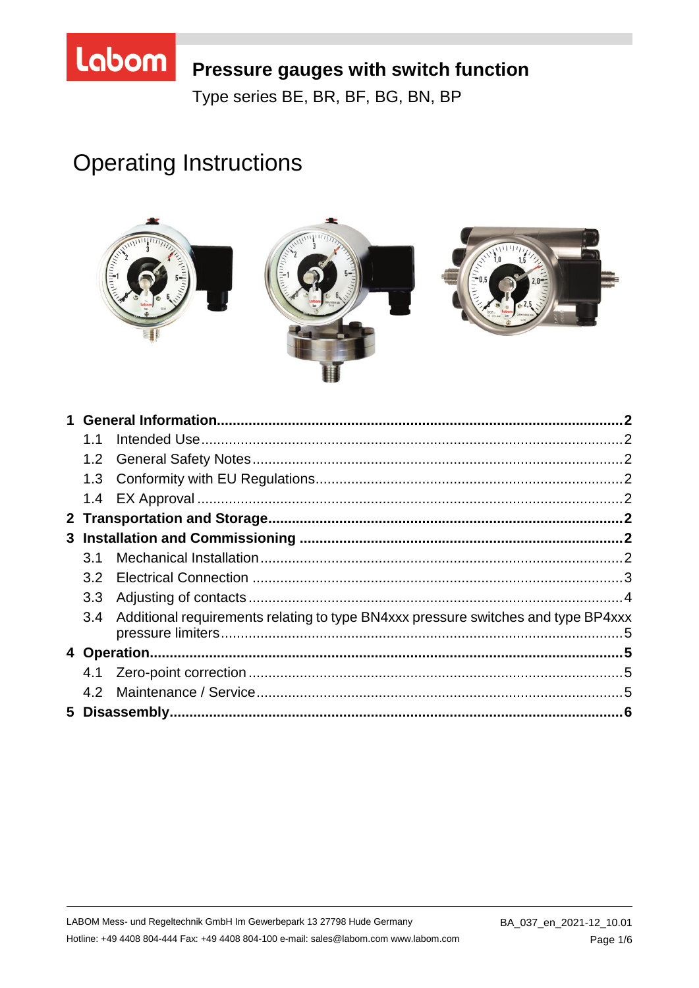# Labom

# Pressure gauges with switch function

Type series BE, BR, BF, BG, BN, BP

# **Operating Instructions**



| 1.1 |                                                                                       |  |
|-----|---------------------------------------------------------------------------------------|--|
|     |                                                                                       |  |
|     |                                                                                       |  |
|     |                                                                                       |  |
|     |                                                                                       |  |
|     |                                                                                       |  |
| 3.1 |                                                                                       |  |
|     |                                                                                       |  |
| 3.3 |                                                                                       |  |
|     | 3.4 Additional requirements relating to type BN4xxx pressure switches and type BP4xxx |  |
|     |                                                                                       |  |
|     |                                                                                       |  |
|     |                                                                                       |  |
|     |                                                                                       |  |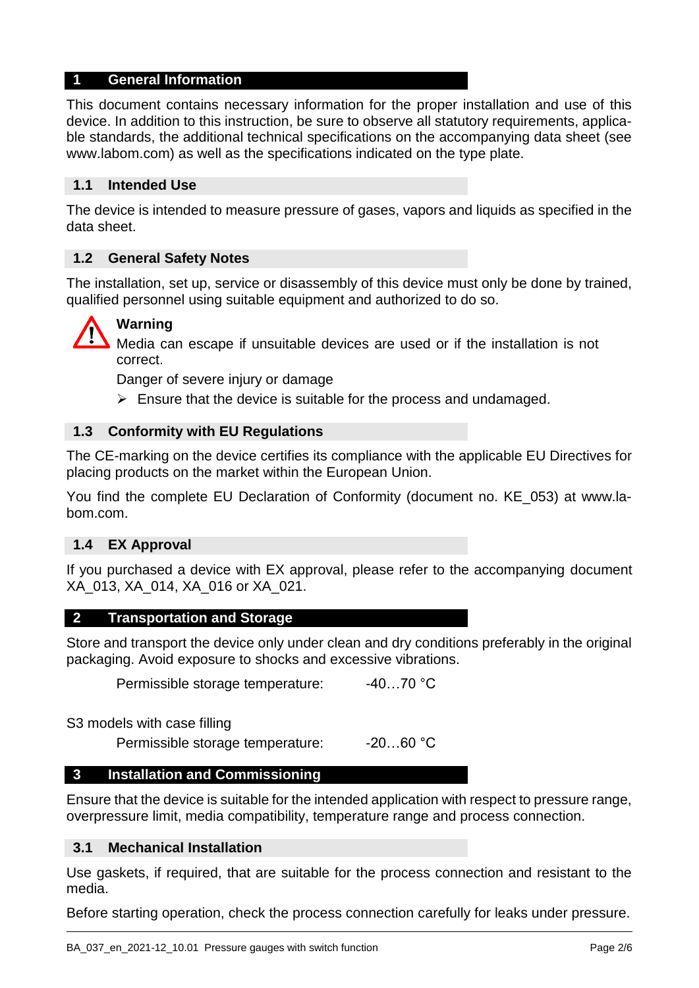#### **1 General Information**

This document contains necessary information for the proper installation and use of this device. In addition to this instruction, be sure to observe all statutory requirements, applicable standards, the additional technical specifications on the accompanying data sheet (see www.labom.com) as well as the specifications indicated on the type plate.

#### **1.1 Intended Use**

The device is intended to measure pressure of gases, vapors and liquids as specified in the data sheet.

#### **1.2 General Safety Notes**

The installation, set up, service or disassembly of this device must only be done by trained, qualified personnel using suitable equipment and authorized to do so.



### **Warning**

Media can escape if unsuitable devices are used or if the installation is not correct.

Danger of severe injury or damage

 $\triangleright$  Ensure that the device is suitable for the process and undamaged.

#### **1.3 Conformity with EU Regulations**

The CE-marking on the device certifies its compliance with the applicable EU Directives for placing products on the market within the European Union.

You find the complete EU Declaration of Conformity (document no. KE\_053) at www.labom.com.

#### **1.4 EX Approval**

If you purchased a device with EX approval, please refer to the accompanying document XA\_013, XA\_014, XA\_016 or XA\_021.

#### **2 Transportation and Storage**

Store and transport the device only under clean and dry conditions preferably in the original packaging. Avoid exposure to shocks and excessive vibrations.

Permissible storage temperature: -40...70 °C

S3 models with case filling

Permissible storage temperature: -20...60 °C

#### **3 Installation and Commissioning**

Ensure that the device is suitable for the intended application with respect to pressure range, overpressure limit, media compatibility, temperature range and process connection.

#### **3.1 Mechanical Installation**

Use gaskets, if required, that are suitable for the process connection and resistant to the media.

Before starting operation, check the process connection carefully for leaks under pressure.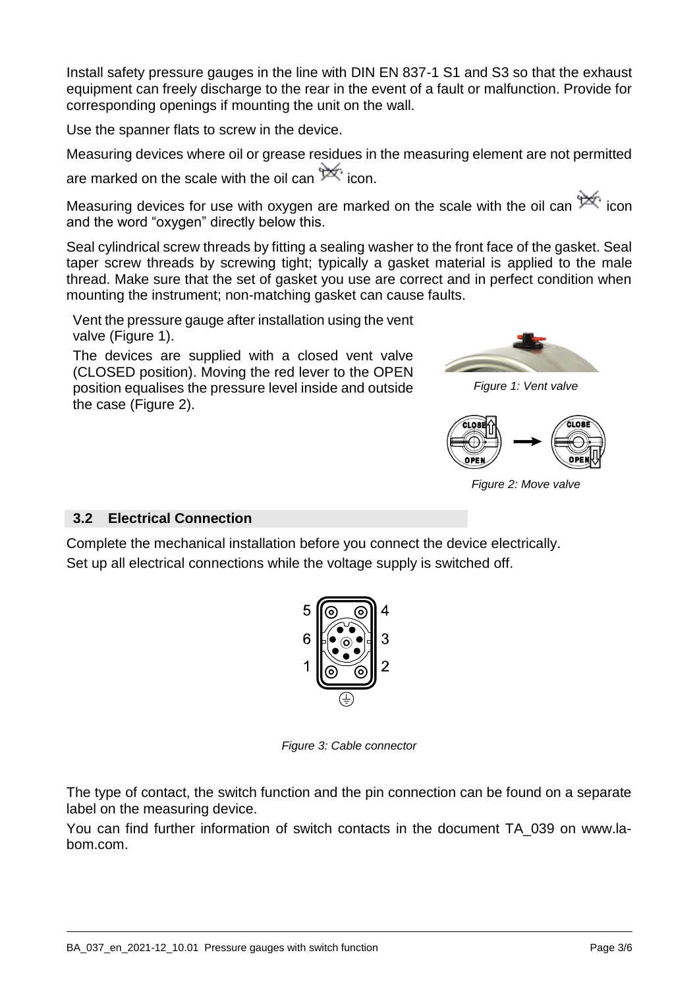Install safety pressure gauges in the line with DIN EN 837-1 S1 and S3 so that the exhaust equipment can freely discharge to the rear in the event of a fault or malfunction. Provide for corresponding openings if mounting the unit on the wall.

Use the spanner flats to screw in the device.

Measuring devices where oil or grease residues in the measuring element are not permitted are marked on the scale with the oil can  $\mathbb{X}$  icon.

Measuring devices for use with oxygen are marked on the scale with the oil can  $\mathbb{R}^n$  icon and the word "oxygen" directly below this.

Seal cylindrical screw threads by fitting a sealing washer to the front face of the gasket. Seal taper screw threads by screwing tight; typically a gasket material is applied to the male thread. Make sure that the set of gasket you use are correct and in perfect condition when mounting the instrument; non-matching gasket can cause faults.

Vent the pressure gauge after installation using the vent valve (Figure [1\)](#page-2-0).

The devices are supplied with a closed vent valve (CLOSED position). Moving the red lever to the OPEN position equalises the pressure level inside and outside the case (Figure [2\)](#page-2-1).

<span id="page-2-0"></span>

*Figure 1: Vent valve*

<span id="page-2-1"></span>

*Figure 2: Move valve*

#### **3.2 Electrical Connection**

Complete the mechanical installation before you connect the device electrically. Set up all electrical connections while the voltage supply is switched off.



*Figure 3: Cable connector*

The type of contact, the switch function and the pin connection can be found on a separate label on the measuring device.

You can find further information of switch contacts in the document TA\_039 on www.labom.com.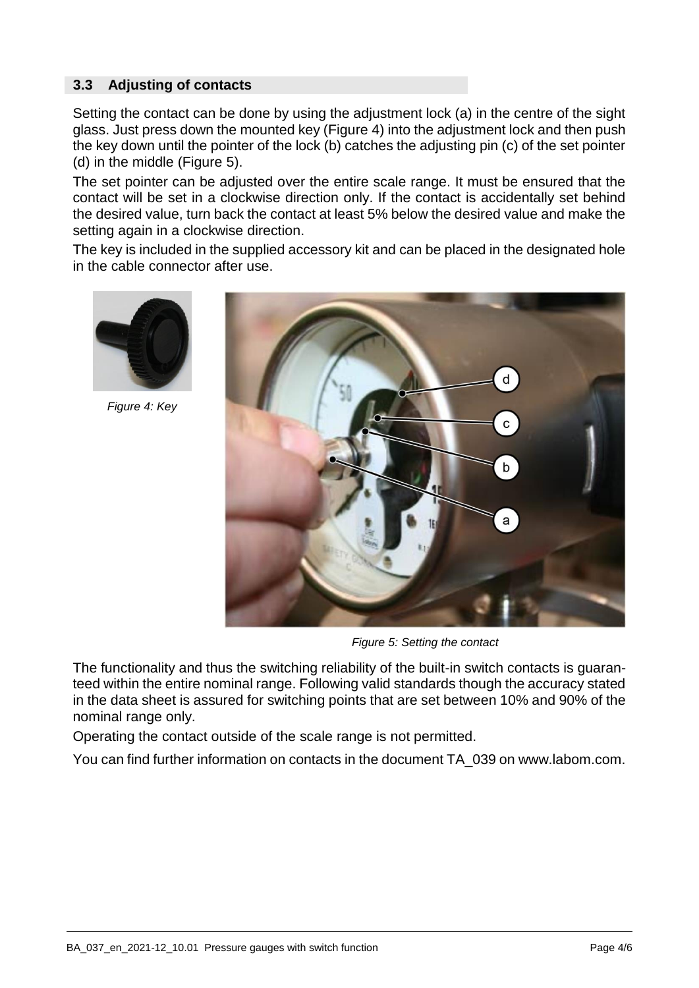#### **3.3 Adjusting of contacts**

Setting the contact can be done by using the adjustment lock (a) in the centre of the sight glass. Just press down the mounted key (Figure [4\)](#page-3-0) into the adjustment lock and then push the key down until the pointer of the lock (b) catches the adjusting pin (c) of the set pointer (d) in the middle (Figure [5\)](#page-3-1).

The set pointer can be adjusted over the entire scale range. It must be ensured that the contact will be set in a clockwise direction only. If the contact is accidentally set behind the desired value, turn back the contact at least 5% below the desired value and make the setting again in a clockwise direction.

The key is included in the supplied accessory kit and can be placed in the designated hole in the cable connector after use.

<span id="page-3-0"></span>

*Figure 4: Key*

<span id="page-3-1"></span>

*Figure 5: Setting the contact*

The functionality and thus the switching reliability of the built-in switch contacts is guaranteed within the entire nominal range. Following valid standards though the accuracy stated in the data sheet is assured for switching points that are set between 10% and 90% of the nominal range only.

Operating the contact outside of the scale range is not permitted.

You can find further information on contacts in the document TA\_039 on www.labom.com.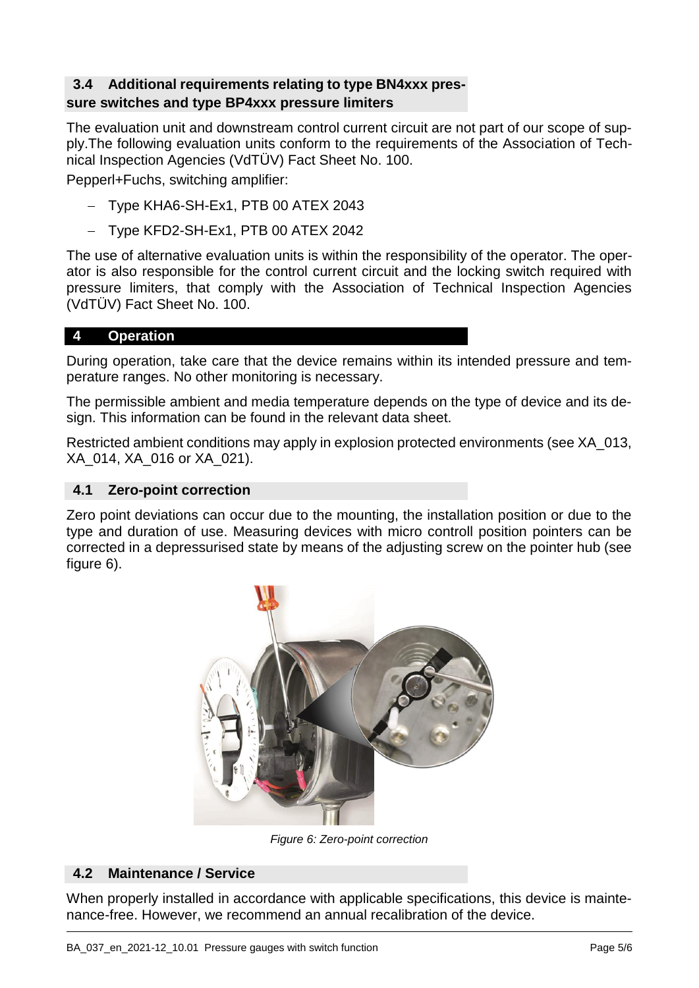#### **3.4 Additional requirements relating to type BN4xxx pressure switches and type BP4xxx pressure limiters**

The evaluation unit and downstream control current circuit are not part of our scope of supply.The following evaluation units conform to the requirements of the Association of Technical Inspection Agencies (VdTÜV) Fact Sheet No. 100.

Pepperl+Fuchs, switching amplifier:

- Type KHA6-SH-Ex1, PTB 00 ATEX 2043
- $-$  Type KFD2-SH-Ex1, PTB 00 ATEX 2042

The use of alternative evaluation units is within the responsibility of the operator. The operator is also responsible for the control current circuit and the locking switch required with pressure limiters, that comply with the Association of Technical Inspection Agencies (VdTÜV) Fact Sheet No. 100.

#### **4 Operation**

During operation, take care that the device remains within its intended pressure and temperature ranges. No other monitoring is necessary.

The permissible ambient and media temperature depends on the type of device and its design. This information can be found in the relevant data sheet.

Restricted ambient conditions may apply in explosion protected environments (see XA\_013, XA\_014, XA\_016 or XA\_021).

#### **4.1 Zero-point correction**

<span id="page-4-0"></span>Zero point deviations can occur due to the mounting, the installation position or due to the type and duration of use. Measuring devices with micro controll position pointers can be corrected in a depressurised state by means of the adjusting screw on the pointer hub (see figure [6\)](#page-4-0).



*Figure 6: Zero-point correction*

#### **4.2 Maintenance / Service**

When properly installed in accordance with applicable specifications, this device is maintenance-free. However, we recommend an annual recalibration of the device.